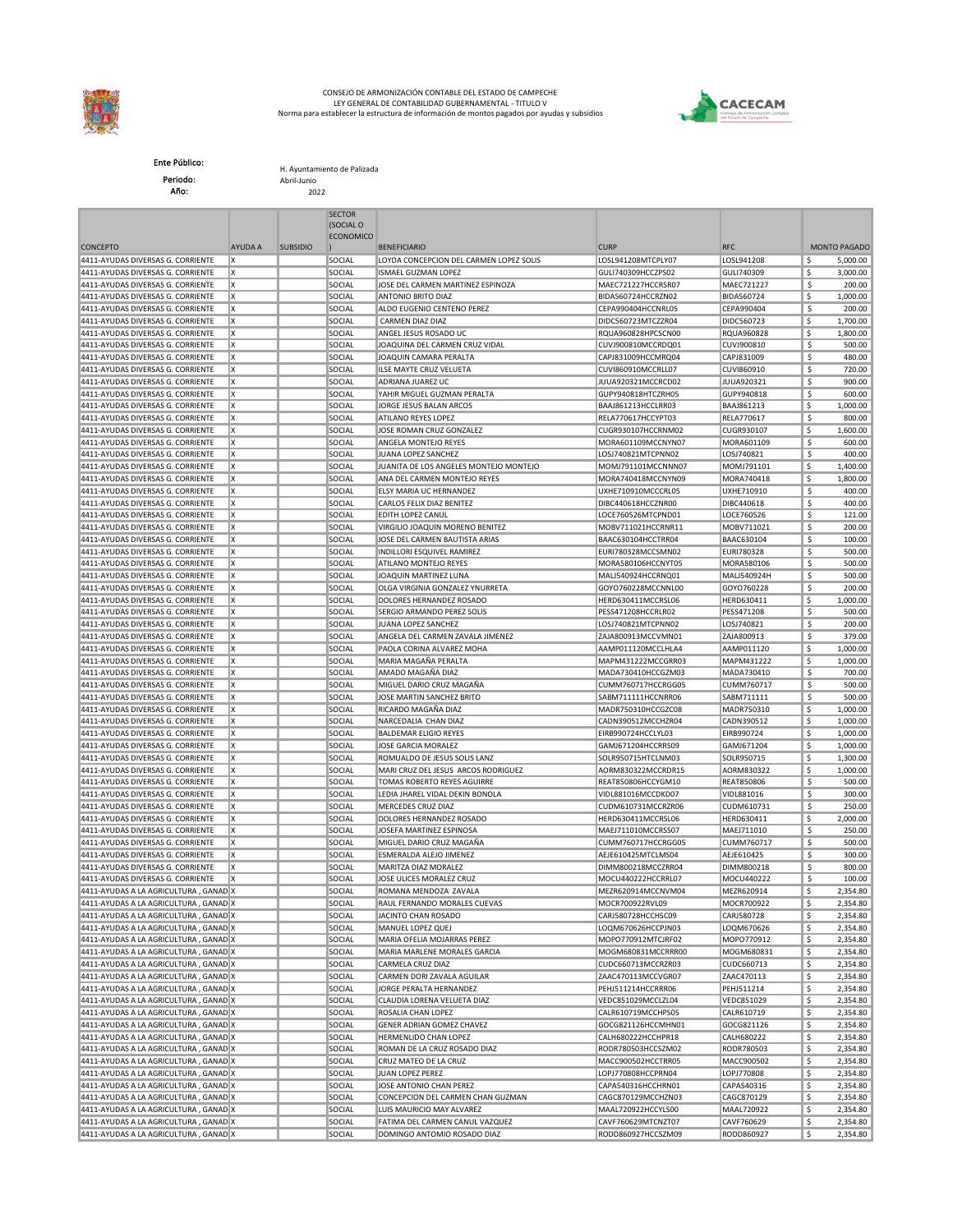

## CONSEJO DE ARMONIZACIÓN CONTABLE DEL ESTADO DE CAMPECHE LEY GENERAL DE CONTABILIDAD GUBERNAMENTAL - TITULO V Norma para establecer la estructura de información de montos pagados por ayudas y subsidios



Ente Público: Periodo: Año:

H. Ayuntamiento de Palizada Abril-Junio 2022

|                                                                                |                |                 | <b>SECTOR</b><br>(SOCIAL O |                                                               |                                          |                          |                                  |
|--------------------------------------------------------------------------------|----------------|-----------------|----------------------------|---------------------------------------------------------------|------------------------------------------|--------------------------|----------------------------------|
| <b>CONCEPTO</b>                                                                | <b>AYUDA A</b> | <b>SUBSIDIO</b> | <b>ECONOMICO</b>           | <b>BENEFICIARIO</b>                                           | <b>CURP</b>                              | <b>RFC</b>               | <b>MONTO PAGADO</b>              |
| 4411-AYUDAS DIVERSAS G. CORRIENTE                                              | X              |                 | SOCIAL                     | LOYDA CONCEPCION DEL CARMEN LOPEZ SOLIS                       | LOSL941208MTCPLY07                       | LOSL941208               | \$<br>5,000.00                   |
| 4411-AYUDAS DIVERSAS G. CORRIENTE                                              | Ιx             |                 | SOCIAL                     | <b>ISMAEL GUZMAN LOPEZ</b>                                    | GULI740309HCCZPS02                       | GULI740309               | \$<br>3,000.00                   |
| 4411-AYUDAS DIVERSAS G. CORRIENTE                                              | ΙX.            |                 | SOCIAL                     | JOSE DEL CARMEN MARTINEZ ESPINOZA                             | MAEC721227HCCRSR07                       | MAEC721227               | \$<br>200.00                     |
| 4411-AYUDAS DIVERSAS G. CORRIENTE                                              | X              |                 | SOCIAL                     | ANTONIO BRITO DIAZ                                            | BIDA560724HCCRZN02                       | <b>BIDA560724</b>        | \$<br>1,000.00                   |
| 4411-AYUDAS DIVERSAS G. CORRIENTE                                              | X              |                 | SOCIAL                     | ALDO EUGENIO CENTENO PEREZ                                    | CEPA990404HCCNRL05                       | CEPA990404               | \$<br>200.00                     |
| 4411-AYUDAS DIVERSAS G. CORRIENTE                                              | X              |                 | SOCIAL                     | CARMEN DIAZ DIAZ                                              | DIDC560723MTCZZR04                       | DIDC560723               | \$<br>1,700.00                   |
| 4411-AYUDAS DIVERSAS G. CORRIENTE                                              | X<br>Ιx        |                 | SOCIAL                     | ANGEL JESUS ROSADO UC                                         | RQUA960828HPCSCN00                       | RQUA960828               | \$<br>1,800.00                   |
| 4411-AYUDAS DIVERSAS G. CORRIENTE<br>4411-AYUDAS DIVERSAS G. CORRIENTE         | X              |                 | SOCIAL<br>SOCIAL           | JOAQUINA DEL CARMEN CRUZ VIDAL<br>JOAQUIN CAMARA PERALTA      | CUVJ900810MCCRDQ01<br>CAPJ831009HCCMRQ04 | CUVJ900810<br>CAPJ831009 | \$<br>500.00<br>\$<br>480.00     |
| 4411-AYUDAS DIVERSAS G. CORRIENTE                                              | X              |                 | SOCIAL                     | ILSE MAYTE CRUZ VELUETA                                       | CUVI860910MCCRLL07                       | CUVI860910               | \$<br>720.00                     |
| 4411-AYUDAS DIVERSAS G. CORRIENTE                                              | X              |                 | SOCIAL                     | ADRIANA JUAREZ UC                                             | JUUA920321MCCRCD02                       | JUUA920321               | \$<br>900.00                     |
| 4411-AYUDAS DIVERSAS G. CORRIENTE                                              | ΙX             |                 | SOCIAL                     | YAHIR MIGUEL GUZMAN PERALTA                                   | GUPY940818HTCZRH05                       | GUPY940818               | \$<br>600.00                     |
| 4411-AYUDAS DIVERSAS G. CORRIENTE                                              | X              |                 | SOCIAL                     | JORGE JESUS BALAN ARCOS                                       | BAAJ861213HCCLRR03                       | BAAJ861213               | \$<br>1,000.00                   |
| 4411-AYUDAS DIVERSAS G. CORRIENTE                                              | X              |                 | SOCIAL                     | ATILANO REYES LOPEZ                                           | RELA770617HCCYPT03                       | RELA770617               | \$<br>800.00                     |
| 4411-AYUDAS DIVERSAS G. CORRIENTE                                              | Ιx             |                 | SOCIAL                     | JOSE ROMAN CRUZ GONZALEZ                                      | CUGR930107HCCRNM02                       | CUGR930107               | \$<br>1,600.00                   |
| 4411-AYUDAS DIVERSAS G. CORRIENTE                                              | X              |                 | SOCIAL                     | <b>ANGELA MONTEJO REYES</b>                                   | MORA601109MCCNYN07                       | MORA601109               | -\$<br>600.00                    |
| 4411-AYUDAS DIVERSAS G. CORRIENTE<br>4411-AYUDAS DIVERSAS G. CORRIENTE         | X<br>X         |                 | SOCIAL<br>SOCIAL           | JUANA LOPEZ SANCHEZ<br>JUANITA DE LOS ANGELES MONTEJO MONTEJO | LOSJ740821MTCPNN02<br>MOMJ791101MCCNNN07 | LOSJ740821<br>MOMJ791101 | \$<br>400.00<br>\$<br>1,400.00   |
| 4411-AYUDAS DIVERSAS G. CORRIENTE                                              | X              |                 | SOCIAL                     | ANA DEL CARMEN MONTEJO REYES                                  | MORA740418MCCNYN09                       | MORA740418               | \$<br>1,800.00                   |
| 4411-AYUDAS DIVERSAS G. CORRIENTE                                              | Ιx             |                 | SOCIAL                     | ELSY MARIA UC HERNANDEZ                                       | UXHE710910MCCCRL05                       | UXHE710910               | \$<br>400.00                     |
| 4411-AYUDAS DIVERSAS G. CORRIENTE                                              | X              |                 | SOCIAL                     | CARLOS FELIX DIAZ BENITEZ                                     | DIBC440618HCCZNR00                       | DIBC440618               | \$<br>400.00                     |
| 4411-AYUDAS DIVERSAS G. CORRIENTE                                              | ΙX             |                 | SOCIAL                     | EDITH LOPEZ CANUL                                             | LOCE760526MTCPND01                       | LOCE760526               | \$<br>121.00                     |
| 4411-AYUDAS DIVERSAS G. CORRIENTE                                              | ΙX.            |                 | SOCIAL                     | VIRGILIO JOAQUIN MORENO BENITEZ                               | MOBV711021HCCRNR11                       | MOBV711021               | \$<br>200.00                     |
| 4411-AYUDAS DIVERSAS G. CORRIENTE                                              | X              |                 | SOCIAL                     | JOSE DEL CARMEN BAUTISTA ARIAS                                | BAAC630104HCCTRR04                       | BAAC630104               | \$<br>100.00                     |
| 4411-AYUDAS DIVERSAS G. CORRIENTE                                              | Ιx             |                 | SOCIAL                     | INDILLORI ESQUIVEL RAMIREZ                                    | EURI780328MCCSMN02                       | EURI780328               | \$<br>500.00                     |
| 4411-AYUDAS DIVERSAS G. CORRIENTE                                              | X              |                 | SOCIAL                     | ATILANO MONTEJO REYES                                         | MORA580106HCCNYT05                       | MORA580106               | 500.00<br>\$                     |
| 4411-AYUDAS DIVERSAS G. CORRIENTE                                              | X<br>Ιx        |                 | SOCIAL                     | JOAQUIN MARTINEZ LUNA<br>OLGA VIRGINIA GONZALEZ YNURRETA      | MALJ540924HCCRNQ01<br>GOYO760228MCCNNL00 | MALJ540924H              | \$<br>500.00<br>200.00           |
| 4411-AYUDAS DIVERSAS G. CORRIENTE<br>4411-AYUDAS DIVERSAS G. CORRIENTE         | X              |                 | SOCIAL<br>SOCIAL           | DOLORES HERNANDEZ ROSADO                                      | HERD630411MCCRSL06                       | GOYO760228<br>HERD630411 | -\$<br>\$<br>1,000.00            |
| 4411-AYUDAS DIVERSAS G. CORRIENTE                                              | Ιx             |                 | SOCIAL                     | SERGIO ARMANDO PEREZ SOLIS                                    | PESS471208HCCRLR02                       | PESS471208               | \$<br>500.00                     |
| 4411-AYUDAS DIVERSAS G. CORRIENTE                                              | X              |                 | SOCIAL                     | JUANA LOPEZ SANCHEZ                                           | LOSJ740821MTCPNN02                       | LOSJ740821               | 200.00<br>\$                     |
| 4411-AYUDAS DIVERSAS G. CORRIENTE                                              | ΙX             |                 | SOCIAL                     | ANGELA DEL CARMEN ZAVALA JIMENEZ                              | ZAJA800913MCCVMN01                       | ZAJA800913               | 379.00<br>-\$                    |
| 4411-AYUDAS DIVERSAS G. CORRIENTE                                              | X              |                 | SOCIAL                     | PAOLA CORINA ALVAREZ MOHA                                     | AAMP011120MCCLHLA4                       | AAMP011120               | \$<br>1,000.00                   |
| 4411-AYUDAS DIVERSAS G. CORRIENTE                                              | X              |                 | SOCIAL                     | MARIA MAGAÑA PERALTA                                          | MAPM431222MCCGRR03                       | MAPM431222               | \$<br>1,000.00                   |
| 4411-AYUDAS DIVERSAS G. CORRIENTE                                              | Ιx             |                 | SOCIAL                     | AMADO MAGAÑA DIAZ                                             | MADA730410HCCGZM03                       | MADA730410               | \$<br>700.00                     |
| 4411-AYUDAS DIVERSAS G. CORRIENTE                                              | X              |                 | SOCIAL                     | MIGUEL DARIO CRUZ MAGAÑA                                      | CUMM760717HCCRGG05                       | CUMM760717               | 500.00<br>\$.                    |
| 4411-AYUDAS DIVERSAS G. CORRIENTE<br>4411-AYUDAS DIVERSAS G. CORRIENTE         | X<br>Ιx        |                 | SOCIAL<br>SOCIAL           | JOSE MARTIN SANCHEZ BRITO<br>RICARDO MAGAÑA DIAZ              | SABM711111HCCNRR06<br>MADR750310HCCGZC08 | SABM711111<br>MADR750310 | \$<br>500.00<br>\$<br>1,000.00   |
| 4411-AYUDAS DIVERSAS G. CORRIENTE                                              | X              |                 | SOCIAL                     | NARCEDALIA CHAN DIAZ                                          | CADN390512MCCHZR04                       | CADN390512               | \$<br>1,000.00                   |
| 4411-AYUDAS DIVERSAS G. CORRIENTE                                              | Ιx             |                 | SOCIAL                     | <b>BALDEMAR ELIGIO REYES</b>                                  | EIRB990724HCCLYL03                       | EIRB990724               | \$<br>1,000.00                   |
| 4411-AYUDAS DIVERSAS G. CORRIENTE                                              | X              |                 | SOCIAL                     | JOSE GARCIA MORALEZ                                           | GAMJ671204HCCRRS09                       | GAMJ671204               | \$<br>1,000.00                   |
| 4411-AYUDAS DIVERSAS G. CORRIENTE                                              | X              |                 | SOCIAL                     | ROMUALDO DE JESUS SOLIS LANZ                                  | SOLR950715HTCLNM03                       | SOLR950715               | \$<br>1,300.00                   |
| 4411-AYUDAS DIVERSAS G. CORRIENTE                                              | X              |                 | SOCIAL                     | MARI CRUZ DEL JESUS ARCOS RODRIGUEZ                           | AORM830322MCCRDR15                       | AORM830322               | \$<br>1,000.00                   |
| 4411-AYUDAS DIVERSAS G. CORRIENTE                                              | X              |                 | SOCIAL                     | TOMAS ROBERTO REYES AGUIRRE                                   | REAT850806HCCYGM10                       | REAT850806               | \$<br>500.00                     |
| 4411-AYUDAS DIVERSAS G. CORRIENTE                                              | X              |                 | SOCIAL                     | LEDIA JHAREL VIDAL DEKIN BONOLA                               | VIDL881016MCCDKD07                       | VIDL881016               | \$<br>300.00                     |
| 4411-AYUDAS DIVERSAS G. CORRIENTE                                              | Ιx<br>X        |                 | SOCIAL                     | MERCEDES CRUZ DIAZ                                            | CUDM610731MCCRZR06                       | CUDM610731               | \$<br>250.00<br>\$               |
| 4411-AYUDAS DIVERSAS G. CORRIENTE<br>4411-AYUDAS DIVERSAS G. CORRIENTE         | Ιx             |                 | SOCIAL<br>SOCIAL           | DOLORES HERNANDEZ ROSADO<br>JOSEFA MARTINEZ ESPINOSA          | HERD630411MCCRSL06<br>MAEJ711010MCCRSS07 | HERD630411<br>MAEJ711010 | 2,000.00<br>\$<br>250.00         |
| 4411-AYUDAS DIVERSAS G. CORRIENTE                                              | Iх             |                 | SOCIAL                     | MIGUEL DARIO CRUZ MAGAÑA                                      | CUMM760717HCCRGG05                       | CUMM760717               | \$<br>500.00                     |
| 4411-AYUDAS DIVERSAS G. CORRIENTE                                              | Ιx             |                 | SOCIAL                     | ESMERALDA ALEJO JIMENEZ                                       | AEJE610425MTCLMS04                       | AEJE610425               | \$<br>300.00                     |
| 4411-AYUDAS DIVERSAS G. CORRIENTE                                              | X              |                 | SOCIAL                     | MARITZA DIAZ MORALEZ                                          | DIMM800218MCCZRR04                       | DIMM800218               | \$<br>800.00                     |
| 4411-AYUDAS DIVERSAS G. CORRIENTE                                              | ΙX             |                 | SOCIAL                     | JOSE ULICES MORALEZ CRUZ                                      | MOCU440222HCCRRL07                       | MOCU440222               | 100.00<br>\$                     |
| 4411-AYUDAS A LA AGRICULTURA, GANAD X                                          |                |                 | SOCIAL                     | ROMANA MENDOZA ZAVALA                                         | MEZR620914MCCNVM04                       | MEZR620914               | \$<br>2,354.80                   |
| 4411-AYUDAS A LA AGRICULTURA, GANAD X                                          |                |                 | SOCIAL                     | RAUL FERNANDO MORALES CUEVAS                                  | MOCR700922RVL09                          | MOCR700922               | \$<br>2,354.80                   |
| 4411-AYUDAS A LA AGRICULTURA, GANAD X                                          |                |                 | SOCIAL                     | JACINTO CHAN ROSADO                                           | CARJ580728HCCHSC09                       | CARJ580728<br>LOQM670626 | \$<br>2,354.80                   |
| 4411-AYUDAS A LA AGRICULTURA, GANAD X<br>4411-AYUDAS A LA AGRICULTURA, GANAD X |                |                 | SOCIAL<br>SOCIAL           | MANUEL LOPEZ QUEJ<br>MARIA OFELIA MOJARRAS PEREZ              | LOQM670626HCCPJN03<br>MOPO770912MTCJRF02 | MOPO770912               | \$<br>2,354.80<br>\$<br>2,354.80 |
| 4411-AYUDAS A LA AGRICULTURA, GANAD X                                          |                |                 | SOCIAL                     | MARIA MARLENE MORALES GARCIA                                  | MOGM680831MCCRRR00                       | MOGM680831               | \$<br>2,354.80                   |
| 4411-AYUDAS A LA AGRICULTURA, GANAD X                                          |                |                 | SOCIAL                     | CARMELA CRUZ DIAZ                                             | CUDC660713MCCRZR03                       | CUDC660713               | \$<br>2,354.80                   |
| 4411-AYUDAS A LA AGRICULTURA, GANAD X                                          |                |                 | SOCIAL                     | CARMEN DORI ZAVALA AGUILAR                                    | ZAAC470113MCCVGR07                       | ZAAC470113               | \$<br>2,354.80                   |
| 4411-AYUDAS A LA AGRICULTURA, GANAD X                                          |                |                 | SOCIAL                     | JORGE PERALTA HERNANDEZ                                       | PEHJ511214HCCRRR06                       | PEHJ511214               | \$<br>2,354.80                   |
| 4411-AYUDAS A LA AGRICULTURA, GANAD X                                          |                |                 | SOCIAL                     | CLAUDIA LORENA VELUETA DIAZ                                   | VEDC851029MCCLZL04                       | VEDC851029               | \$<br>2,354.80                   |
| 4411-AYUDAS A LA AGRICULTURA, GANAD X                                          |                |                 | SOCIAL                     | ROSALIA CHAN LOPEZ                                            | CALR610719MCCHPS05                       | CALR610719               | \$<br>2,354.80                   |
| 4411-AYUDAS A LA AGRICULTURA, GANAD X                                          |                |                 | SOCIAL                     | GENER ADRIAN GOMEZ CHAVEZ                                     | GOCG821126HCCMHN01                       | GOCG821126               | \$<br>2,354.80                   |
| 4411-AYUDAS A LA AGRICULTURA, GANAD X<br>4411-AYUDAS A LA AGRICULTURA, GANAD X |                |                 | SOCIAL<br>SOCIAL           | HERMENLIDO CHAN LOPEZ<br>ROMAN DE LA CRUZ ROSADO DIAZ         | CALH680222HCCHPR18<br>RODR780503HCCSZM02 | CALH680222<br>RODR780503 | \$<br>2,354.80<br>\$<br>2,354.80 |
| 4411-AYUDAS A LA AGRICULTURA, GANAD X                                          |                |                 | SOCIAL                     | CRUZ MATEO DE LA CRUZ                                         | MACC900502HCCTRR05                       | MACC900502               | \$<br>2,354.80                   |
| 4411-AYUDAS A LA AGRICULTURA, GANAD X                                          |                |                 | SOCIAL                     | JUAN LOPEZ PEREZ                                              | LOPJ770808HCCPRN04                       | LOPJ770808               | \$<br>2,354.80                   |
| 4411-AYUDAS A LA AGRICULTURA, GANAD X                                          |                |                 | SOCIAL                     | JOSE ANTONIO CHAN PEREZ                                       | CAPA540316HCCHRN01                       | CAPA540316               | \$<br>2,354.80                   |
| 4411-AYUDAS A LA AGRICULTURA, GANAD X                                          |                |                 | SOCIAL                     | CONCEPCION DEL CARMEN CHAN GUZMAN                             | CAGC870129MCCHZN03                       | CAGC870129               | \$<br>2,354.80                   |
| 4411-AYUDAS A LA AGRICULTURA, GANAD X                                          |                |                 | SOCIAL                     | LUIS MAURICIO MAY ALVAREZ                                     | MAAL720922HCCYLS00                       | MAAL720922               | \$<br>2,354.80                   |
| 4411-AYUDAS A LA AGRICULTURA, GANAD X                                          |                |                 | SOCIAL                     | FATIMA DEL CARMEN CANUL VAZQUEZ                               | CAVF760629MTCNZT07                       | CAVF760629               | \$<br>2,354.80                   |
| 4411-AYUDAS A LA AGRICULTURA, GANAD X                                          |                |                 | SOCIAL                     | DOMINGO ANTOMIO ROSADO DIAZ                                   | RODD860927HCCSZM09                       | RODD860927               | \$<br>2,354.80                   |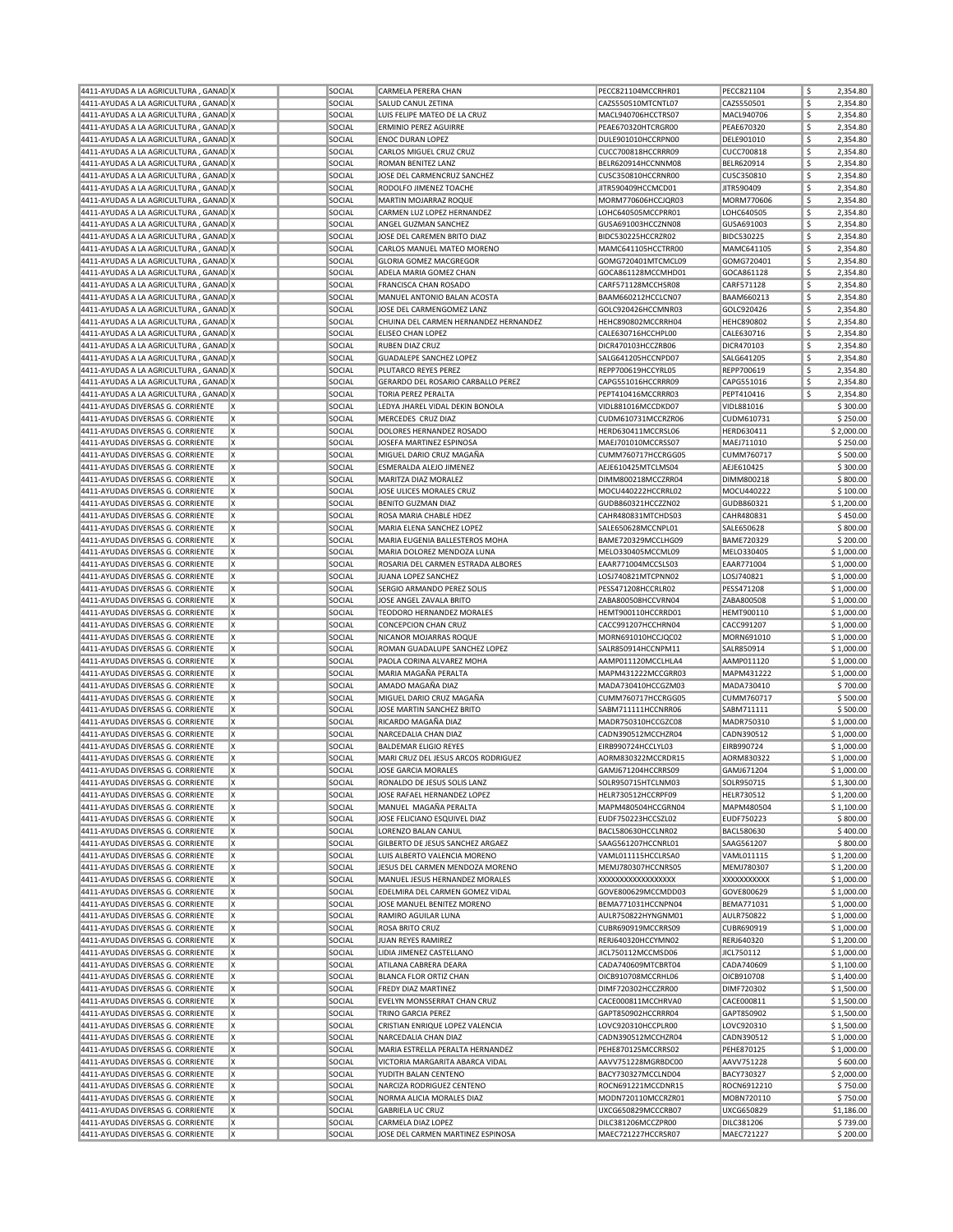| 4411-AYUDAS A LA AGRICULTURA, GANAD X                                             | SOCIAL | CARMELA PERERA CHAN                                     | PECC821104MCCRHR01                       | PECC821104        | \$<br>2,354.80 |
|-----------------------------------------------------------------------------------|--------|---------------------------------------------------------|------------------------------------------|-------------------|----------------|
| 4411-AYUDAS A LA AGRICULTURA, GANAD X                                             | SOCIAL | SALUD CANUL ZETINA                                      | CAZS550510MTCNTL07                       | CAZS550501        | \$<br>2,354.80 |
| 4411-AYUDAS A LA AGRICULTURA, GANAD X                                             | SOCIAL | LUIS FELIPE MATEO DE LA CRUZ                            | MACL940706HCCTRS07                       | MACL940706        | \$<br>2,354.80 |
|                                                                                   |        |                                                         |                                          |                   |                |
| 4411-AYUDAS A LA AGRICULTURA, GANAD X                                             | SOCIAL | <b>ERMINIO PEREZ AGUIRRE</b>                            | PEAE670320HTCRGR00                       | PEAE670320        | \$<br>2,354.80 |
| 4411-AYUDAS A LA AGRICULTURA, GANAD X                                             | SOCIAL | <b>ENOC DURAN LOPEZ</b>                                 | DULE901010HCCRPN00                       | DELE901010        | \$<br>2,354.80 |
| 4411-AYUDAS A LA AGRICULTURA, GANAD X                                             | SOCIAL | CARLOS MIGUEL CRUZ CRUZ                                 | CUCC700818HCCRRR09                       | <b>CUCC700818</b> | \$<br>2,354.80 |
| 4411-AYUDAS A LA AGRICULTURA, GANAD X                                             | SOCIAL | ROMAN BENITEZ LANZ                                      | BELR620914HCCNNM08                       | BELR620914        | \$<br>2,354.80 |
| 4411-AYUDAS A LA AGRICULTURA, GANAD X                                             | SOCIAL | JOSE DEL CARMENCRUZ SANCHEZ                             | CUSC350810HCCRNR00                       | CUSC350810        | \$<br>2,354.80 |
| 4411-AYUDAS A LA AGRICULTURA, GANAD X                                             | SOCIAL | RODOLFO JIMENEZ TOACHE                                  | JITR590409HCCMCD01                       | JITR590409        | \$<br>2,354.80 |
|                                                                                   |        |                                                         |                                          |                   |                |
| 4411-AYUDAS A LA AGRICULTURA, GANAD X                                             | SOCIAL | MARTIN MOJARRAZ ROQUE                                   | MORM770606HCCJQR03                       | MORM770606        | \$<br>2,354.80 |
| 4411-AYUDAS A LA AGRICULTURA, GANAD X                                             | SOCIAL | CARMEN LUZ LOPEZ HERNANDEZ                              | LOHC640505MCCPRR01                       | LOHC640505        | \$<br>2,354.80 |
| 4411-AYUDAS A LA AGRICULTURA, GANAD X                                             | SOCIAL | ANGEL GUZMAN SANCHEZ                                    | GUSA691003HCCZNN08                       | GUSA691003        | \$<br>2,354.80 |
| 4411-AYUDAS A LA AGRICULTURA, GANAD X                                             | SOCIAL | JOSE DEL CAREMEN BRITO DIAZ                             | BIDC530225HCCRZR02                       | BIDC530225        | \$<br>2,354.80 |
| 4411-AYUDAS A LA AGRICULTURA, GANAD X                                             | SOCIAL | CARLOS MANUEL MATEO MORENO                              | MAMC641105HCCTRR00                       | MAMC641105        | \$<br>2,354.80 |
| 4411-AYUDAS A LA AGRICULTURA, GANAD X                                             | SOCIAL | <b>GLORIA GOMEZ MACGREGOR</b>                           | GOMG720401MTCMCL09                       | GOMG720401        | \$<br>2,354.80 |
|                                                                                   |        |                                                         |                                          |                   |                |
| 4411-AYUDAS A LA AGRICULTURA, GANAD X                                             | SOCIAL | ADELA MARIA GOMEZ CHAN                                  | GOCA861128MCCMHD01                       | GOCA861128        | \$<br>2,354.80 |
| 4411-AYUDAS A LA AGRICULTURA, GANAD X                                             | SOCIAL | FRANCISCA CHAN ROSADO                                   | CARF571128MCCHSR08                       | CARF571128        | \$<br>2,354.80 |
| 4411-AYUDAS A LA AGRICULTURA, GANAD X                                             | SOCIAL | MANUEL ANTONIO BALAN ACOSTA                             | BAAM660212HCCLCN07                       | BAAM660213        | \$<br>2,354.80 |
| 4411-AYUDAS A LA AGRICULTURA, GANAD X                                             | SOCIAL | JOSE DEL CARMENGOMEZ LANZ                               | GOLC920426HCCMNR03                       | GOLC920426        | \$<br>2,354.80 |
| 4411-AYUDAS A LA AGRICULTURA, GANAD X                                             | SOCIAL | CHUINA DEL CARMEN HERNANDEZ HERNANDEZ                   | HEHC890802MCCRRH04                       | <b>HEHC890802</b> | \$<br>2,354.80 |
|                                                                                   |        |                                                         |                                          |                   |                |
| 4411-AYUDAS A LA AGRICULTURA, GANAD X                                             | SOCIAL | <b>ELISEO CHAN LOPEZ</b>                                | CALE630716HCCHPL00                       | CALE630716        | \$<br>2,354.80 |
| 4411-AYUDAS A LA AGRICULTURA, GANAD X                                             | SOCIAL | RUBEN DIAZ CRUZ                                         | DICR470103HCCZRB06                       | DICR470103        | \$<br>2,354.80 |
| 4411-AYUDAS A LA AGRICULTURA, GANAD X                                             | SOCIAL | <b>GUADALEPE SANCHEZ LOPEZ</b>                          | SALG641205HCCNPD07                       | SALG641205        | \$<br>2,354.80 |
| 4411-AYUDAS A LA AGRICULTURA, GANAD X                                             | SOCIAL | PLUTARCO REYES PEREZ                                    | REPP700619HCCYRL05                       | REPP700619        | \$<br>2,354.80 |
| 4411-AYUDAS A LA AGRICULTURA, GANAD X                                             | SOCIAL | GERARDO DEL ROSARIO CARBALLO PEREZ                      | CAPG551016HCCRRR09                       | CAPG551016        | \$<br>2,354.80 |
| 4411-AYUDAS A LA AGRICULTURA, GANAD X                                             | SOCIAL | <b>TORIA PEREZ PERALTA</b>                              | PEPT410416MCCRRR03                       | PEPT410416        | \$<br>2,354.80 |
|                                                                                   |        |                                                         |                                          |                   |                |
| 4411-AYUDAS DIVERSAS G. CORRIENTE<br>ΙX                                           | SOCIAL | LEDYA JHAREL VIDAL DEKIN BONOLA                         | VIDL881016MCCDKD07                       | VIDL881016        | \$300.00       |
| 4411-AYUDAS DIVERSAS G. CORRIENTE<br>ΙX                                           | SOCIAL | MERCEDES CRUZ DIAZ                                      | CUDM610731MCCRZR06                       | CUDM610731        | \$250.00       |
| ΙX<br>4411-AYUDAS DIVERSAS G. CORRIENTE                                           | SOCIAL | DOLORES HERNANDEZ ROSADO                                | HERD630411MCCRSL06                       | HERD630411        | \$2,000.00     |
| X<br>4411-AYUDAS DIVERSAS G. CORRIENTE                                            | SOCIAL | JOSEFA MARTINEZ ESPINOSA                                | MAEJ701010MCCRSS07                       | MAEJ711010        | \$250.00       |
| ΙX<br>4411-AYUDAS DIVERSAS G. CORRIENTE                                           | SOCIAL | MIGUEL DARIO CRUZ MAGAÑA                                | CUMM760717HCCRGG05                       | CUMM760717        | \$500.00       |
|                                                                                   |        |                                                         |                                          |                   |                |
| 4411-AYUDAS DIVERSAS G. CORRIENTE<br>X                                            | SOCIAL | ESMERALDA ALEJO JIMENEZ                                 | AEJE610425MTCLMS04                       | AEJE610425        | \$300.00       |
| 4411-AYUDAS DIVERSAS G. CORRIENTE<br>ΙX                                           | SOCIAL | MARITZA DIAZ MORALEZ                                    | DIMM800218MCCZRR04                       | DIMM800218        | \$800.00       |
| ΙX<br>4411-AYUDAS DIVERSAS G. CORRIENTE                                           | SOCIAL | JOSE ULICES MORALES CRUZ                                | MOCU440222HCCRRL02                       | MOCU440222        | \$100.00       |
| X<br>4411-AYUDAS DIVERSAS G. CORRIENTE                                            | SOCIAL | <b>BENITO GUZMAN DIAZ</b>                               | GUDB860321HCCZZN02                       | GUDB860321        | \$1,200.00     |
| ΙX<br>4411-AYUDAS DIVERSAS G. CORRIENTE                                           | SOCIAL | ROSA MARIA CHABLE HDEZ                                  | CAHR480831MTCHDS03                       | CAHR480831        | \$450.00       |
| 4411-AYUDAS DIVERSAS G. CORRIENTE<br>X                                            | SOCIAL | MARIA ELENA SANCHEZ LOPEZ                               | SALE650628MCCNPL01                       | SALE650628        | \$800.00       |
|                                                                                   |        |                                                         |                                          |                   |                |
| ΙX<br>4411-AYUDAS DIVERSAS G. CORRIENTE                                           | SOCIAL | MARIA EUGENIA BALLESTEROS MOHA                          | BAME720329MCCLHG09                       | <b>BAME720329</b> | \$200.00       |
| ΙX<br>4411-AYUDAS DIVERSAS G. CORRIENTE                                           | SOCIAL | MARIA DOLOREZ MENDOZA LUNA                              | MELO330405MCCML09                        | MELO330405        | \$1,000.00     |
| 4411-AYUDAS DIVERSAS G. CORRIENTE<br>X                                            | SOCIAL | ROSARIA DEL CARMEN ESTRADA ALBORES                      | EAAR771004MCCSLS03                       | EAAR771004        | \$1,000.00     |
| ΙX<br>4411-AYUDAS DIVERSAS G. CORRIENTE                                           | SOCIAL | JUANA LOPEZ SANCHEZ                                     | LOSJ740821MTCPNN02                       | LOSJ740821        | \$1,000.00     |
| 4411-AYUDAS DIVERSAS G. CORRIENTE<br>X                                            | SOCIAL | SERGIO ARMANDO PEREZ SOLIS                              | PESS471208HCCRLR02                       | PESS471208        | \$1,000.00     |
| ΙX<br>4411-AYUDAS DIVERSAS G. CORRIENTE                                           | SOCIAL | JOSE ANGEL ZAVALA BRITO                                 | ZABA800508HCCVRN04                       | ZABA800508        | \$1,000.00     |
|                                                                                   |        |                                                         |                                          |                   |                |
| ΙX<br>4411-AYUDAS DIVERSAS G. CORRIENTE                                           | SOCIAL | TEODORO HERNANDEZ MORALES                               | HEMT900110HCCRRD01                       | HEMT900110        | \$1,000.00     |
| X<br>4411-AYUDAS DIVERSAS G. CORRIENTE                                            | SOCIAL | <b>CONCEPCION CHAN CRUZ</b>                             | CACC991207HCCHRN04                       | CACC991207        | \$1,000.00     |
| <b>x</b><br>4411-AYUDAS DIVERSAS G. CORRIENTE                                     | SOCIAL | NICANOR MOJARRAS ROQUE                                  | MORN691010HCCJQC02                       | MORN691010        | \$1,000.00     |
| 4411-AYUDAS DIVERSAS G. CORRIENTE<br>X                                            | SOCIAL | ROMAN GUADALUPE SANCHEZ LOPEZ                           | SALR850914HCCNPM11                       | SALR850914        | \$1,000.00     |
| ΙX<br>4411-AYUDAS DIVERSAS G. CORRIENTE                                           | SOCIAL | PAOLA CORINA ALVAREZ MOHA                               | AAMP011120MCCLHLA4                       | AAMP011120        | \$1,000.00     |
| X<br>4411-AYUDAS DIVERSAS G. CORRIENTE                                            | SOCIAL | MARIA MAGAÑA PERALTA                                    | MAPM431222MCCGRR03                       | MAPM431222        | \$1,000.00     |
|                                                                                   |        |                                                         |                                          |                   |                |
| X<br>4411-AYUDAS DIVERSAS G. CORRIENTE                                            | SOCIAL | AMADO MAGAÑA DIAZ                                       | MADA730410HCCGZM03                       | MADA730410        | \$700.00       |
| ΙX<br>4411-AYUDAS DIVERSAS G. CORRIENTE                                           | SOCIAL | MIGUEL DARIO CRUZ MAGAÑA                                | CUMM760717HCCRGG05                       | CUMM760717        | \$500.00       |
| 4411-AYUDAS DIVERSAS G. CORRIENTE<br>ΙX                                           | SOCIAL | JOSE MARTIN SANCHEZ BRITO                               | SABM711111HCCNRR06                       | SABM711111        | \$500.00       |
| ΙX<br>4411-AYUDAS DIVERSAS G. CORRIENTE                                           | SOCIAL | RICARDO MAGAÑA DIAZ                                     | MADR750310HCCGZC08                       | MADR750310        | \$1,000.00     |
| X<br>4411-AYUDAS DIVERSAS G. CORRIENTE                                            | SOCIAL | NARCEDALIA CHAN DIAZ                                    | CADN390512MCCHZR04                       | CADN390512        | \$1,000.00     |
|                                                                                   |        |                                                         |                                          |                   |                |
| X<br>4411-AYUDAS DIVERSAS G. CORRIENTE                                            | SOCIAL | <b>BALDEMAR ELIGIO REYES</b>                            | EIRB990724HCCLYL03                       | EIRB990724        | \$1,000.00     |
|                                                                                   |        |                                                         |                                          |                   |                |
| ΙX<br>4411-AYUDAS DIVERSAS G. CORRIENTE                                           | SOCIAL | MARI CRUZ DEL JESUS ARCOS RODRIGUEZ                     | AORM830322MCCRDR15                       | AORM830322        | \$1,000.00     |
| 4411-AYUDAS DIVERSAS G. CORRIENTE<br>ΙX                                           | SOCIAL | JOSE GARCIA MORALES                                     | GAMJ671204HCCRRS09                       | GAMJ671204        | \$1,000.00     |
| 4411-AYUDAS DIVERSAS G. CORRIENTE<br>ΙX                                           | SOCIAL | RONALDO DE JESUS SOLIS LANZ                             | SOLR950715HTCLNM03                       | SOLR950715        | \$1,300.00     |
|                                                                                   |        |                                                         |                                          |                   |                |
| X<br>4411-AYUDAS DIVERSAS G. CORRIENTE                                            | SOCIAL | JOSE RAFAEL HERNANDEZ LOPEZ                             | HELR730512HCCRPF09                       | HELR730512        | \$1,200.00     |
| 4411-AYUDAS DIVERSAS G. CORRIENTE<br>ΙX                                           | SOCIAL | MANUEL MAGAÑA PERALTA                                   | MAPM480504HCCGRN04                       | MAPM480504        | \$1,100.00     |
| 4411-AYUDAS DIVERSAS G. CORRIENTE<br>X                                            | SOCIAL | JOSE FELICIANO ESQUIVEL DIAZ                            | EUDF750223HCCSZL02                       | EUDF750223        | \$800.00       |
| 4411-AYUDAS DIVERSAS G. CORRIENTE<br>X                                            | SOCIAL | LORENZO BALAN CANUL                                     | BACL580630HCCLNR02                       | BACL580630        | \$400.00       |
| 4411-AYUDAS DIVERSAS G. CORRIENTE<br>ΙX                                           | SOCIAL | GILBERTO DE JESUS SANCHEZ ARGAEZ                        | SAAG561207HCCNRL01                       | SAAG561207        | \$800.00       |
| X<br>4411-AYUDAS DIVERSAS G. CORRIENTE                                            | SOCIAL | LUIS ALBERTO VALENCIA MORENO                            | VAML011115HCCLRSA0                       | VAML011115        | \$1,200.00     |
| x<br>4411-AYUDAS DIVERSAS G. CORRIENTE                                            | SOCIAL | JESUS DEL CARMEN MENDOZA MORENO                         | MEMJ780307HCCNRS05                       | MEMJ780307        | \$1,200.00     |
|                                                                                   |        |                                                         |                                          |                   |                |
| X<br>4411-AYUDAS DIVERSAS G. CORRIENTE                                            | SOCIAL | MANUEL JESUS HERNANDEZ MORALES                          | XXXXXXXXXXXXXXXXXX                       | XXXXXXXXXXX       | \$1,000.00     |
| 4411-AYUDAS DIVERSAS G. CORRIENTE<br>ΙX                                           | SOCIAL | EDELMIRA DEL CARMEN GOMEZ VIDAL                         | GOVE800629MCCMDD03                       | GOVE800629        | \$1,000.00     |
| X<br>4411-AYUDAS DIVERSAS G. CORRIENTE                                            | SOCIAL | JOSE MANUEL BENITEZ MORENO                              | BEMA771031HCCNPN04                       | BEMA771031        | \$1,000.00     |
| X<br>4411-AYUDAS DIVERSAS G. CORRIENTE                                            | SOCIAL | RAMIRO AGUILAR LUNA                                     | AULR750822HYNGNM01                       | AULR750822        | \$1,000.00     |
| x<br>4411-AYUDAS DIVERSAS G. CORRIENTE                                            | SOCIAL | ROSA BRITO CRUZ                                         | CUBR690919MCCRRS09                       | CUBR690919        | \$1,000.00     |
|                                                                                   |        |                                                         |                                          | RERJ640320        |                |
| X<br>4411-AYUDAS DIVERSAS G. CORRIENTE                                            | SOCIAL | JUAN REYES RAMIREZ                                      | RERJ640320HCCYMN02                       |                   | \$1,200.00     |
| 4411-AYUDAS DIVERSAS G. CORRIENTE<br>X                                            | SOCIAL | LIDIA JIMENEZ CASTELLANO                                | JICL750112MCCMSD06                       | JICL750112        | \$1,000.00     |
| 4411-AYUDAS DIVERSAS G. CORRIENTE<br>ΙX                                           | SOCIAL | ATILANA CABRERA DEARA                                   | CADA740609MTCBRT04                       | CADA740609        | \$1,100.00     |
| X<br>4411-AYUDAS DIVERSAS G. CORRIENTE                                            | SOCIAL | <b>BLANCA FLOR ORTIZ CHAN</b>                           | OICB910708MCCRHL06                       | OICB910708        | \$1,400.00     |
| x<br>4411-AYUDAS DIVERSAS G. CORRIENTE                                            | SOCIAL | FREDY DIAZ MARTINEZ                                     | DIMF720302HCCZRR00                       | DIMF720302        | \$1,500.00     |
| X<br>4411-AYUDAS DIVERSAS G. CORRIENTE                                            | SOCIAL | EVELYN MONSSERRAT CHAN CRUZ                             | CACE000811MCCHRVA0                       | CACE000811        | \$1,500.00     |
|                                                                                   |        |                                                         |                                          |                   |                |
| 4411-AYUDAS DIVERSAS G. CORRIENTE<br>ΙX                                           | SOCIAL | TRINO GARCIA PEREZ                                      | GAPT850902HCCRRR04                       | GAPT850902        | \$1,500.00     |
| 4411-AYUDAS DIVERSAS G. CORRIENTE<br>X                                            | SOCIAL | CRISTIAN ENRIQUE LOPEZ VALENCIA                         | LOVC920310HCCPLR00                       | LOVC920310        | \$1,500.00     |
| X<br>4411-AYUDAS DIVERSAS G. CORRIENTE                                            | SOCIAL | NARCEDALIA CHAN DIAZ                                    | CADN390512MCCHZR04                       | CADN390512        | \$1,000.00     |
| 4411-AYUDAS DIVERSAS G. CORRIENTE<br>X                                            | SOCIAL | MARIA ESTRELLA PERALTA HERNANDEZ                        | PEHE870125MCCRRS02                       | PEHE870125        | \$1,000.00     |
| X<br>4411-AYUDAS DIVERSAS G. CORRIENTE                                            | SOCIAL | VICTORIA MARGARITA ABARCA VIDAL                         | AAVV751228MGRBDC00                       | AAVV751228        | \$600.00       |
| 4411-AYUDAS DIVERSAS G. CORRIENTE<br>X                                            | SOCIAL | YUDITH BALAN CENTENO                                    | BACY730327MCCLND04                       | BACY730327        | \$2,000.00     |
|                                                                                   |        |                                                         |                                          |                   |                |
| 4411-AYUDAS DIVERSAS G. CORRIENTE<br>ΙX                                           | SOCIAL | NARCIZA RODRIGUEZ CENTENO                               | ROCN691221MCCDNR15                       | ROCN6912210       | \$750.00       |
| X<br>4411-AYUDAS DIVERSAS G. CORRIENTE                                            | SOCIAL | NORMA ALICIA MORALES DIAZ                               | MODN720110MCCRZR01                       | MOBN720110        | \$750.00       |
| x<br>4411-AYUDAS DIVERSAS G. CORRIENTE                                            | SOCIAL | <b>GABRIELA UC CRUZ</b>                                 | UXCG650829MCCCRB07                       | UXCG650829        | \$1,186.00     |
| X<br>4411-AYUDAS DIVERSAS G. CORRIENTE<br>4411-AYUDAS DIVERSAS G. CORRIENTE<br>ΙX | SOCIAL | CARMELA DIAZ LOPEZ<br>JOSE DEL CARMEN MARTINEZ ESPINOSA | DILC381206MCCZPR00<br>MAEC721227HCCRSR07 | DILC381206        | \$739.00       |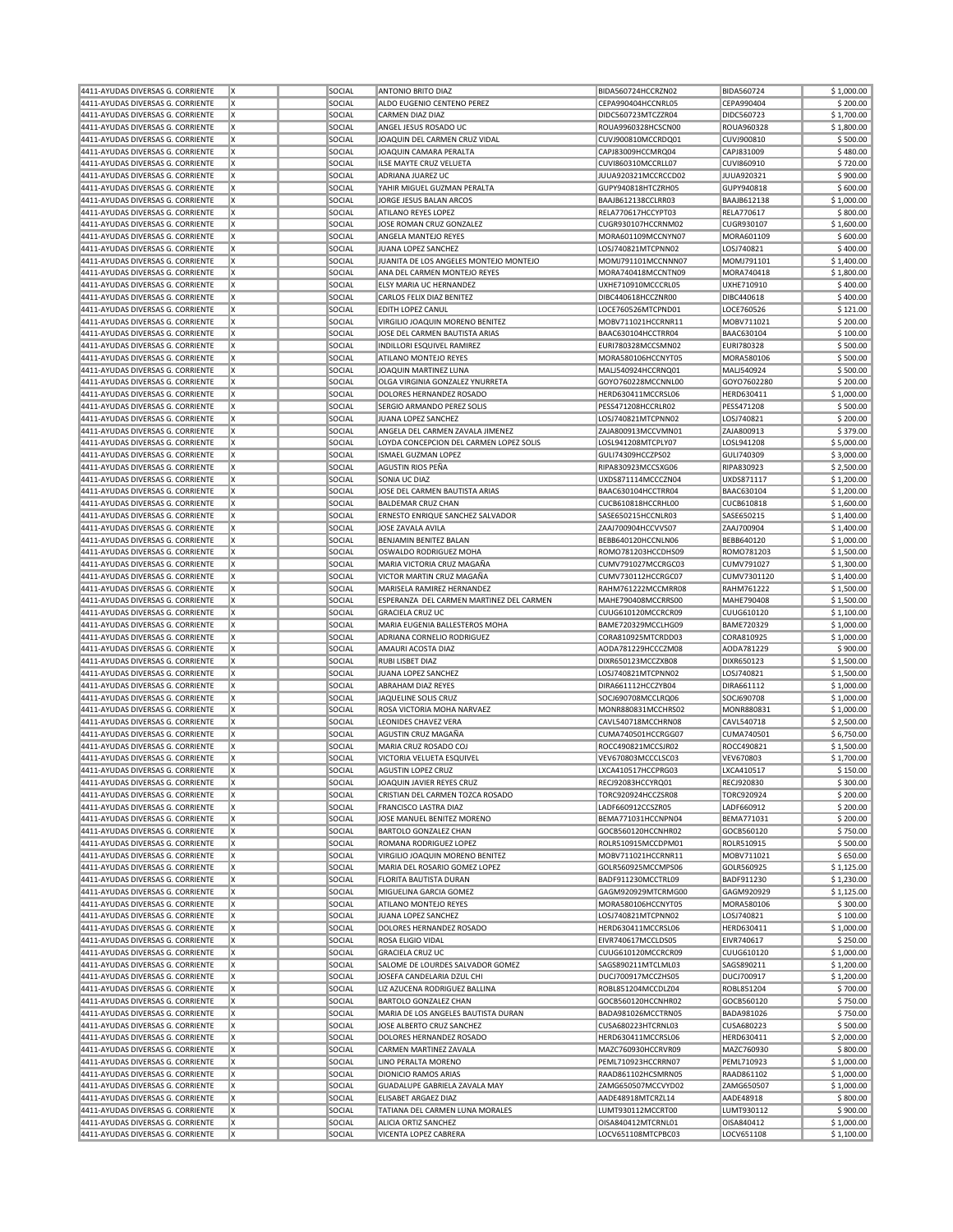| 4411-AYUDAS DIVERSAS G. CORRIENTE                                      |  | ΙX      | SOCIAL           | <b>ANTONIO BRITO DIAZ</b>                            | BIDA560724HCCRZN02                       | <b>BIDA560724</b>        | \$1,000.00               |
|------------------------------------------------------------------------|--|---------|------------------|------------------------------------------------------|------------------------------------------|--------------------------|--------------------------|
| 4411-AYUDAS DIVERSAS G. CORRIENTE                                      |  | X       | SOCIAL           | ALDO EUGENIO CENTENO PEREZ                           | CEPA990404HCCNRL05                       | CEPA990404               | \$200.00                 |
|                                                                        |  |         |                  |                                                      |                                          |                          |                          |
| 4411-AYUDAS DIVERSAS G. CORRIENTE                                      |  | X       | SOCIAL           | CARMEN DIAZ DIAZ                                     | DIDC560723MTCZZR04                       | DIDC560723               | \$1,700.00               |
| 4411-AYUDAS DIVERSAS G. CORRIENTE                                      |  | ΙX      | SOCIAL           | ANGEL JESUS ROSADO UC                                | ROUA9960328HCSCN00                       | <b>ROUA960328</b>        | \$1,800.00               |
| 4411-AYUDAS DIVERSAS G. CORRIENTE                                      |  | X       | SOCIAL           | JOAQUIN DEL CARMEN CRUZ VIDAL                        | CUVJ900810MCCRDQ01                       | CUVJ900810               | \$500.00                 |
|                                                                        |  |         |                  |                                                      |                                          |                          |                          |
| 4411-AYUDAS DIVERSAS G. CORRIENTE                                      |  | X       | SOCIAL           | JOAQUIN CAMARA PERALTA                               | CAPJ83009HCCMRQ04                        | CAPJ831009               | \$480.00                 |
| 4411-AYUDAS DIVERSAS G. CORRIENTE                                      |  | ΙX      | SOCIAL           | ILSE MAYTE CRUZ VELUETA                              | CUVI860310MCCRLL07                       | CUVI860910               | \$720.00                 |
| 4411-AYUDAS DIVERSAS G. CORRIENTE                                      |  | X       | SOCIAL           | ADRIANA JUAREZ UC                                    | JUUA920321MCCRCCD02                      | JUUA920321               | \$900.00                 |
| 4411-AYUDAS DIVERSAS G. CORRIENTE                                      |  | X       | SOCIAL           | YAHIR MIGUEL GUZMAN PERALTA                          | GUPY940818HTCZRH05                       | GUPY940818               | \$600.00                 |
|                                                                        |  |         |                  |                                                      |                                          |                          |                          |
| 4411-AYUDAS DIVERSAS G. CORRIENTE                                      |  | X       | SOCIAL           | JORGE JESUS BALAN ARCOS                              | BAAJB612138CCLRR03                       | <b>BAAJB612138</b>       | \$1,000.00               |
| 4411-AYUDAS DIVERSAS G. CORRIENTE                                      |  | ΙX      | SOCIAL           | ATILANO REYES LOPEZ                                  | RELA770617HCCYPT03                       | <b>RELA770617</b>        | \$800.00                 |
| 4411-AYUDAS DIVERSAS G. CORRIENTE                                      |  | X       | SOCIAL           | JOSE ROMAN CRUZ GONZALEZ                             | CUGR930107HCCRNM02                       | CUGR930107               | \$1,600.00               |
|                                                                        |  |         |                  |                                                      |                                          |                          |                          |
| 4411-AYUDAS DIVERSAS G. CORRIENTE                                      |  | X       | SOCIAL           | ANGELA MANTEJO REYES                                 | MORA601109MCCNYN07                       | MORA601109               | \$600.00                 |
| 4411-AYUDAS DIVERSAS G. CORRIENTE                                      |  | ΙX      | SOCIAL           | JUANA LOPEZ SANCHEZ                                  | LOSJ740821MTCPNN02                       | LOSJ740821               | \$400.00                 |
| 4411-AYUDAS DIVERSAS G. CORRIENTE                                      |  | X       | SOCIAL           | JUANITA DE LOS ANGELES MONTEJO MONTEJO               | MOMJ791101MCCNNN07                       | MOMJ791101               | \$1,400.00               |
|                                                                        |  | Ιx      | SOCIAL           | ANA DEL CARMEN MONTEJO REYES                         |                                          |                          |                          |
| 4411-AYUDAS DIVERSAS G. CORRIENTE                                      |  |         |                  |                                                      | MORA740418MCCNTN09                       | MORA740418               | \$1,800.00               |
| 4411-AYUDAS DIVERSAS G. CORRIENTE                                      |  | ΙX      | SOCIAL           | ELSY MARIA UC HERNANDEZ                              | UXHE710910MCCCRL05                       | UXHE710910               | \$400.00                 |
| 4411-AYUDAS DIVERSAS G. CORRIENTE                                      |  | X       | SOCIAL           | CARLOS FELIX DIAZ BENITEZ                            | DIBC440618HCCZNR00                       | DIBC440618               | \$400.00                 |
| 4411-AYUDAS DIVERSAS G. CORRIENTE                                      |  | X       | SOCIAL           | EDITH LOPEZ CANUL                                    | LOCE760526MTCPND01                       | LOCE760526               | \$121.00                 |
|                                                                        |  |         |                  |                                                      |                                          |                          |                          |
| 4411-AYUDAS DIVERSAS G. CORRIENTE                                      |  | X       | SOCIAL           | VIRGILIO JOAQUIN MORENO BENITEZ                      | MOBV711021HCCRNR11                       | MOBV711021               | \$200.00                 |
| 4411-AYUDAS DIVERSAS G. CORRIENTE                                      |  | ΙX      | SOCIAL           | JOSE DEL CARMEN BAUTISTA ARIAS                       | BAAC630104HCCTRR04                       | BAAC630104               | \$100.00                 |
| 4411-AYUDAS DIVERSAS G. CORRIENTE                                      |  | X       | SOCIAL           | INDILLORI ESQUIVEL RAMIREZ                           | EURI780328MCCSMN02                       | EURI780328               | \$500.00                 |
|                                                                        |  |         |                  |                                                      |                                          |                          |                          |
| 4411-AYUDAS DIVERSAS G. CORRIENTE                                      |  | X       | SOCIAL           | ATILANO MONTEJO REYES                                | MORA580106HCCNYT05                       | MORA580106               | \$500.00                 |
| 4411-AYUDAS DIVERSAS G. CORRIENTE                                      |  | ΙX      | SOCIAL           | JOAQUIN MARTINEZ LUNA                                | MALJ540924HCCRNQ01                       | MALJ540924               | \$500.00                 |
| 4411-AYUDAS DIVERSAS G. CORRIENTE                                      |  | X       | SOCIAL           | OLGA VIRGINIA GONZALEZ YNURRETA                      | GOYO760228MCCNNL00                       | GOYO7602280              | \$200.00                 |
|                                                                        |  | X       | SOCIAL           |                                                      | HERD630411MCCRSL06                       |                          | \$1,000.00               |
| 4411-AYUDAS DIVERSAS G. CORRIENTE                                      |  |         |                  | DOLORES HERNANDEZ ROSADO                             |                                          | HERD630411               |                          |
| 4411-AYUDAS DIVERSAS G. CORRIENTE                                      |  | ΙX      | SOCIAL           | SERGIO ARMANDO PEREZ SOLIS                           | PESS471208HCCRLR02                       | PESS471208               | \$500.00                 |
| 4411-AYUDAS DIVERSAS G. CORRIENTE                                      |  | ΙX      | SOCIAL           | JUANA LOPEZ SANCHEZ                                  | LOSJ740821MTCPNN02                       | LOSJ740821               | \$200.00                 |
| 4411-AYUDAS DIVERSAS G. CORRIENTE                                      |  | X       | SOCIAL           | ANGELA DEL CARMEN ZAVALA JIMENEZ                     | ZAJA800913MCCVMN01                       | ZAJA800913               | \$379.00                 |
|                                                                        |  |         |                  |                                                      |                                          |                          |                          |
| 4411-AYUDAS DIVERSAS G. CORRIENTE                                      |  | X       | SOCIAL           | LOYDA CONCEPCION DEL CARMEN LOPEZ SOLIS              | LOSL941208MTCPLY07                       | LOSL941208               | \$5,000.00               |
| 4411-AYUDAS DIVERSAS G. CORRIENTE                                      |  | ΙX      | SOCIAL           | ISMAEL GUZMAN LOPEZ                                  | GULI74309HCCZPS02                        | GULI740309               | \$3,000.00               |
| 4411-AYUDAS DIVERSAS G. CORRIENTE                                      |  | X       | SOCIAL           | AGUSTIN RIOS PEÑA                                    | RIPA830923MCCSXG06                       | RIPA830923               | \$2,500.00               |
|                                                                        |  |         |                  |                                                      |                                          |                          |                          |
| 4411-AYUDAS DIVERSAS G. CORRIENTE                                      |  | X       | SOCIAL           | SONIA UC DIAZ                                        | UXDS871114MCCCZN04                       | UXDS871117               | \$1,200.00               |
| 4411-AYUDAS DIVERSAS G. CORRIENTE                                      |  | ΙX      | SOCIAL           | JOSE DEL CARMEN BAUTISTA ARIAS                       | BAAC630104HCCTRR04                       | BAAC630104               | \$1,200.00               |
| 4411-AYUDAS DIVERSAS G. CORRIENTE                                      |  | X       | SOCIAL           | BALDEMAR CRUZ CHAN                                   | CUCB610818HCCRHL00                       | <b>CUCB610818</b>        | \$1,600.00               |
|                                                                        |  |         |                  |                                                      |                                          |                          |                          |
| 4411-AYUDAS DIVERSAS G. CORRIENTE                                      |  | ΙX      | SOCIAL           | ERNESTO ENRIQUE SANCHEZ SALVADOR                     | SASE650215HCCNLR03                       | SASE650215               | \$1,400.00               |
| 4411-AYUDAS DIVERSAS G. CORRIENTE                                      |  | ΙX      | SOCIAL           | JOSE ZAVALA AVILA                                    | ZAAJ700904HCCVVS07                       | ZAAJ700904               | \$1,400.00               |
| 4411-AYUDAS DIVERSAS G. CORRIENTE                                      |  | X       | SOCIAL           | BENJAMIN BENITEZ BALAN                               | BEBB640120HCCNLN06                       | BEBB640120               | \$1,000.00               |
| 4411-AYUDAS DIVERSAS G. CORRIENTE                                      |  | ΙX      | SOCIAL           | OSWALDO RODRIGUEZ MOHA                               | ROMO781203HCCDHS09                       | ROMO781203               | \$1,500.00               |
|                                                                        |  |         |                  |                                                      |                                          |                          |                          |
| 4411-AYUDAS DIVERSAS G. CORRIENTE                                      |  | X       | SOCIAL           | MARIA VICTORIA CRUZ MAGAÑA                           | CUMV791027MCCRGC03                       | CUMV791027               | \$1,300.00               |
| 4411-AYUDAS DIVERSAS G. CORRIENTE                                      |  | ΙX      | SOCIAL           | VICTOR MARTIN CRUZ MAGAÑA                            | CUMV730112HCCRGC07                       | CUMV7301120              | \$1,400.00               |
| 4411-AYUDAS DIVERSAS G. CORRIENTE                                      |  | X       | SOCIAL           | MARISELA RAMIREZ HERNANDEZ                           | RAHM761222MCCMRR08                       | RAHM761222               | \$1,500.00               |
|                                                                        |  |         |                  |                                                      |                                          |                          |                          |
| 4411-AYUDAS DIVERSAS G. CORRIENTE                                      |  | X       | SOCIAL           | ESPERANZA DEL CARMEN MARTINEZ DEL CARMEN             | MAHE790408MCCRRS00                       | MAHE790408               | \$1,500.00               |
| 4411-AYUDAS DIVERSAS G. CORRIENTE                                      |  | ΙX      | SOCIAL           | <b>GRACIELA CRUZ UC</b>                              | CUUG610120MCCRCR09                       | CUUG610120               | \$1,100.00               |
| 4411-AYUDAS DIVERSAS G. CORRIENTE                                      |  | X       | SOCIAL           | MARIA EUGENIA BALLESTEROS MOHA                       | BAME720329MCCLHG09                       | <b>BAME720329</b>        | \$1,000.00               |
| 4411-AYUDAS DIVERSAS G. CORRIENTE                                      |  | X       | SOCIAL           | ADRIANA CORNELIO RODRIGUEZ                           | CORA810925MTCRDD03                       | CORA810925               | \$1,000.00               |
|                                                                        |  |         |                  |                                                      |                                          |                          |                          |
| 4411-AYUDAS DIVERSAS G. CORRIENTE                                      |  | ΙX      | SOCIAL           | AMAURI ACOSTA DIAZ                                   | AODA781229HCCCZM08                       | AODA781229               | \$900.00                 |
| 4411-AYUDAS DIVERSAS G. CORRIENTE                                      |  | Ιx      | SOCIAL           | RUBI LISBET DIAZ                                     | DIXR650123MCCZXB08                       | DIXR650123               | \$1,500.00               |
| 4411-AYUDAS DIVERSAS G. CORRIENTE                                      |  | X       | SOCIAL           | JUANA LOPEZ SANCHEZ                                  | LOSJ740821MTCPNN02                       | LOSJ740821               | \$1,500.00               |
|                                                                        |  |         |                  |                                                      |                                          |                          |                          |
| 4411-AYUDAS DIVERSAS G. CORRIENTE                                      |  | X       | SOCIAL           | ABRAHAM DIAZ REYES                                   | DIRA661112HCCZYB04                       | DIRA661112               | \$1,000.00               |
| 4411-AYUDAS DIVERSAS G. CORRIENTE                                      |  | ΙX      | SOCIAL           | JAQUELINE SOLIS CRUZ                                 | SOCJ690708MCCLRQ06                       | SOCJ690708               | \$1,000.00               |
| 4411-AYUDAS DIVERSAS G. CORRIENTE                                      |  | X       | SOCIAL           | ROSA VICTORIA MOHA NARVAEZ                           | MONR880831MCCHRS02                       | MONR880831               | \$1,000.00               |
|                                                                        |  | ΙX      | SOCIAL           |                                                      |                                          | CAVL540718               | \$2,500.00               |
| 4411-AYUDAS DIVERSAS G. CORRIENTE                                      |  |         |                  | LEONIDES CHAVEZ VERA                                 | CAVL540718MCCHRN08                       |                          |                          |
| 4411-AYUDAS DIVERSAS G. CORRIENTE                                      |  | X       | SOCIAL           | AGUSTIN CRUZ MAGAÑA                                  | CUMA740501HCCRGG07                       | CUMA740501               | \$6,750.00               |
| 4411-AYUDAS DIVERSAS G. CORRIENTE                                      |  | X       | SOCIAL           | MARIA CRUZ ROSADO COJ                                | ROCC490821MCCSJR02                       | ROCC490821               | \$1,500.00               |
| 4411-AYUDAS DIVERSAS G. CORRIENTE                                      |  | Ιx      | SOCIAL           | VICTORIA VELUETA ESQUIVEL                            | VEV670803MCCCLSC03                       | VEV670803                | \$1,700.00               |
|                                                                        |  |         |                  |                                                      |                                          |                          |                          |
| 4411-AYUDAS DIVERSAS G. CORRIENTE                                      |  | Ιx      | SOCIAL           | <b>AGUSTIN LOPEZ CRUZ</b>                            | LXCA410517HCCPRG03                       | LXCA410517               | \$150.00                 |
| 4411-AYUDAS DIVERSAS G. CORRIENTE                                      |  |         | <b>SOCIAL</b>    | JOAQUIN JAVIER REYES CRUZ                            | RECJ92083HCCYRQ01                        | <b>RECJ920830</b>        | \$300.00                 |
| 4411-AYUDAS DIVERSAS G. CORRIENTE                                      |  | X       | SOCIAL           | CRISTIAN DEL CARMEN TOZCA ROSADO                     | TORC920924HCCZSR08                       | TORC920924               | \$200.00                 |
|                                                                        |  |         |                  |                                                      |                                          |                          |                          |
| 4411-AYUDAS DIVERSAS G. CORRIENTE                                      |  | X       | SOCIAL           | FRANCISCO LASTRA DIAZ                                | LADF660912CCSZR05                        | LADF660912               | \$200.00                 |
| 4411-AYUDAS DIVERSAS G. CORRIENTE                                      |  | X       | SOCIAL           | JOSE MANUEL BENITEZ MORENO                           | BEMA771031HCCNPN04                       | <b>BEMA771031</b>        | \$200.00                 |
| 4411-AYUDAS DIVERSAS G. CORRIENTE                                      |  | ΙX.     | SOCIAL           | BARTOLO GONZALEZ CHAN                                | GOCB560120HCCNHR02                       | GOCB560120               | \$750.00                 |
| 4411-AYUDAS DIVERSAS G. CORRIENTE                                      |  | X       | SOCIAL           | ROMANA RODRIGUEZ LOPEZ                               | ROLR510915MCCDPM01                       | ROLR510915               | \$500.00                 |
|                                                                        |  |         |                  |                                                      |                                          |                          |                          |
| 4411-AYUDAS DIVERSAS G. CORRIENTE                                      |  | X       | SOCIAL           | VIRGILIO JOAQUIN MORENO BENITEZ                      | MOBV711021HCCRNR11                       | MOBV711021               | \$650.00                 |
| 4411-AYUDAS DIVERSAS G. CORRIENTE                                      |  | X       | SOCIAL           | MARIA DEL ROSARIO GOMEZ LOPEZ                        | GOLR560925MCCMPS06                       | GOLR560925               | \$1,125.00               |
| 4411-AYUDAS DIVERSAS G. CORRIENTE                                      |  | ΙX      | SOCIAL           | FLORITA BAUTISTA DURAN                               | BADF911230MCCTRL09                       | BADF911230               | \$1,230.00               |
|                                                                        |  |         |                  |                                                      | GAGM920929MTCRMG00                       |                          |                          |
| 4411-AYUDAS DIVERSAS G. CORRIENTE                                      |  | ΙX      | SOCIAL           | MIGUELINA GARCIA GOMEZ                               |                                          | GAGM920929               | \$1,125.00               |
| 4411-AYUDAS DIVERSAS G. CORRIENTE                                      |  | X       | SOCIAL           | ATILANO MONTEJO REYES                                | MORA580106HCCNYT05                       | MORA580106               | \$300.00                 |
| 4411-AYUDAS DIVERSAS G. CORRIENTE                                      |  | X       | SOCIAL           | JUANA LOPEZ SANCHEZ                                  | LOSJ740821MTCPNN02                       | LOSJ740821               | \$100.00                 |
| 4411-AYUDAS DIVERSAS G. CORRIENTE                                      |  | X       | SOCIAL           | DOLORES HERNANDEZ ROSADO                             | HERD630411MCCRSL06                       | HERD630411               | \$1,000.00               |
|                                                                        |  |         |                  |                                                      |                                          |                          |                          |
| 4411-AYUDAS DIVERSAS G. CORRIENTE                                      |  |         |                  |                                                      |                                          |                          |                          |
| 4411-AYUDAS DIVERSAS G. CORRIENTE                                      |  | Ιx      | SOCIAL           | ROSA ELIGIO VIDAL                                    | EIVR740617MCCLDS05                       | EIVR740617               | \$250.00                 |
|                                                                        |  | ΙX      | SOCIAL           | <b>GRACIELA CRUZ UC</b>                              | CUUG610120MCCRCR09                       | CUUG610120               | \$1,000.00               |
|                                                                        |  |         |                  |                                                      |                                          |                          |                          |
| 4411-AYUDAS DIVERSAS G. CORRIENTE                                      |  | X       | SOCIAL           | SALOME DE LOURDES SALVADOR GOMEZ                     | SAGS890211MTCLML03                       | SAGS890211               | \$1,200.00               |
| 4411-AYUDAS DIVERSAS G. CORRIENTE                                      |  | X       | SOCIAL           | JOSEFA CANDELARIA DZUL CHI                           | DUCJ700917MCCZHS05                       | DUCJ700917               | \$1,200.00               |
| 4411-AYUDAS DIVERSAS G. CORRIENTE                                      |  | X       | SOCIAL           | LIZ AZUCENA RODRIGUEZ BALLINA                        | ROBL851204MCCDLZ04                       | ROBL851204               | \$700.00                 |
|                                                                        |  |         |                  |                                                      |                                          |                          |                          |
| 4411-AYUDAS DIVERSAS G. CORRIENTE                                      |  | ΙX      | SOCIAL           | BARTOLO GONZALEZ CHAN                                | GOCB560120HCCNHR02                       | GOCB560120               | \$750.00                 |
| 4411-AYUDAS DIVERSAS G. CORRIENTE                                      |  | ΙX      | SOCIAL           | MARIA DE LOS ANGELES BAUTISTA DURAN                  | BADA981026MCCTRN05                       | BADA981026               | \$750.00                 |
| 4411-AYUDAS DIVERSAS G. CORRIENTE                                      |  | X       | SOCIAL           | JOSE ALBERTO CRUZ SANCHEZ                            | CUSA680223HTCRNL03                       | CUSA680223               | \$500.00                 |
|                                                                        |  |         |                  |                                                      |                                          |                          |                          |
| 4411-AYUDAS DIVERSAS G. CORRIENTE                                      |  | X       | SOCIAL           | DOLORES HERNANDEZ ROSADO                             | HERD630411MCCRSL06                       | HERD630411               | \$2,000.00               |
| 4411-AYUDAS DIVERSAS G. CORRIENTE                                      |  | ΙX      | SOCIAL           | CARMEN MARTINEZ ZAVALA                               | MAZC760930HCCRVR09                       | MAZC760930               | \$800.00                 |
| 4411-AYUDAS DIVERSAS G. CORRIENTE                                      |  | Ιx      | SOCIAL           | LINO PERALTA MORENO                                  | PEML710923HCCRRN07                       | PEML710923               | \$1,000.00               |
| 4411-AYUDAS DIVERSAS G. CORRIENTE                                      |  | ΙX.     | SOCIAL           | DIONICIO RAMOS ARIAS                                 | RAAD861102HCSMRN05                       | RAAD861102               | \$1,000.00               |
|                                                                        |  |         |                  |                                                      |                                          |                          |                          |
| 4411-AYUDAS DIVERSAS G. CORRIENTE                                      |  | X       | SOCIAL           | GUADALUPE GABRIELA ZAVALA MAY                        | ZAMG650507MCCVYD02                       | ZAMG650507               | \$1,000.00               |
| 4411-AYUDAS DIVERSAS G. CORRIENTE                                      |  | X       | SOCIAL           | ELISABET ARGAEZ DIAZ                                 | AADE48918MTCRZL14                        | AADE48918                | \$800.00                 |
| 4411-AYUDAS DIVERSAS G. CORRIENTE                                      |  | X       | SOCIAL           | TATIANA DEL CARMEN LUNA MORALES                      | LUMT930112MCCRT00                        | LUMT930112               | \$900.00                 |
|                                                                        |  |         |                  |                                                      |                                          |                          |                          |
| 4411-AYUDAS DIVERSAS G. CORRIENTE<br>4411-AYUDAS DIVERSAS G. CORRIENTE |  | ΙX<br>X | SOCIAL<br>SOCIAL | ALICIA ORTIZ SANCHEZ<br><b>VICENTA LOPEZ CABRERA</b> | OISA840412MTCRNL01<br>LOCV651108MTCPBC03 | OISA840412<br>LOCV651108 | \$1,000.00<br>\$1,100.00 |